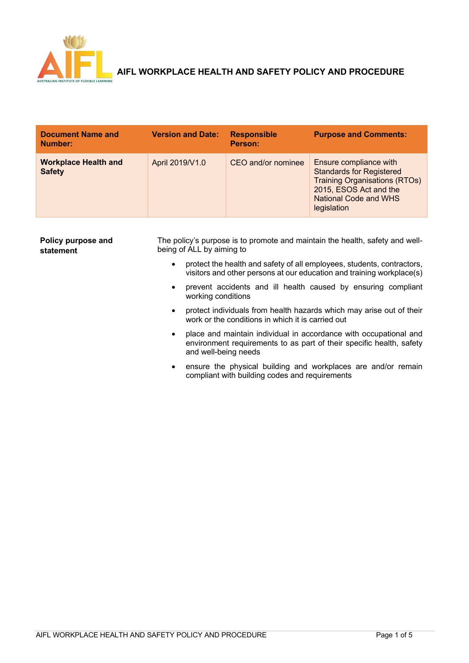

# AND THE MORKPLACE HEALTH AND SAFETY POLICY AND PROCEDURE

| <b>Document Name and</b><br>Number:          | <b>Version and Date:</b> | <b>Responsible</b><br>Person: | <b>Purpose and Comments:</b>                                                                                                                                               |
|----------------------------------------------|--------------------------|-------------------------------|----------------------------------------------------------------------------------------------------------------------------------------------------------------------------|
| <b>Workplace Health and</b><br><b>Safety</b> | April 2019/V1.0          | CEO and/or nominee            | Ensure compliance with<br><b>Standards for Registered</b><br><b>Training Organisations (RTOs)</b><br>2015, ESOS Act and the<br><b>National Code and WHS</b><br>legislation |

| Policy purpose and<br>statement | The policy's purpose is to promote and maintain the health, safety and well-<br>being of ALL by aiming to |                                                                                                                                                                   |
|---------------------------------|-----------------------------------------------------------------------------------------------------------|-------------------------------------------------------------------------------------------------------------------------------------------------------------------|
|                                 | $\bullet$                                                                                                 | protect the health and safety of all employees, students, contractors,<br>visitors and other persons at our education and training workplace(s)                   |
|                                 | ٠                                                                                                         | prevent accidents and ill health caused by ensuring compliant<br>working conditions                                                                               |
|                                 | $\bullet$                                                                                                 | protect individuals from health hazards which may arise out of their<br>work or the conditions in which it is carried out                                         |
|                                 | ٠                                                                                                         | place and maintain individual in accordance with occupational and<br>environment requirements to as part of their specific health, safety<br>and well-being needs |
|                                 | ٠                                                                                                         | ensure the physical building and workplaces are and/or remain<br>compliant with building codes and requirements                                                   |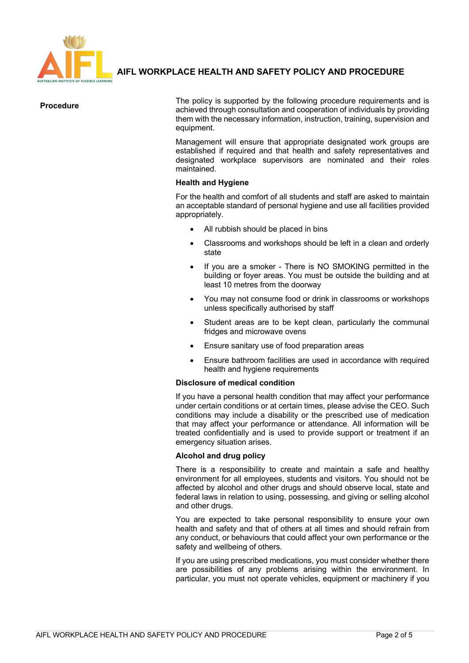

# **AIFL WORKPLACE HEALTH AND SAFETY POLICY AND PROCEDURE**

**Procedure** The policy is supported by the following procedure requirements and is achieved through consultation and cooperation of individuals by providing them with the necessary information, instruction, training, supervision and equipment.

> Management will ensure that appropriate designated work groups are established if required and that health and safety representatives and designated workplace supervisors are nominated and their roles maintained.

## **Health and Hygiene**

For the health and comfort of all students and staff are asked to maintain an acceptable standard of personal hygiene and use all facilities provided appropriately.

- All rubbish should be placed in bins
- Classrooms and workshops should be left in a clean and orderly state
- If you are a smoker There is NO SMOKING permitted in the building or foyer areas. You must be outside the building and at least 10 metres from the doorway
- You may not consume food or drink in classrooms or workshops unless specifically authorised by staff
- Student areas are to be kept clean, particularly the communal fridges and microwave ovens
- Ensure sanitary use of food preparation areas
- Ensure bathroom facilities are used in accordance with required health and hygiene requirements

#### **Disclosure of medical condition**

If you have a personal health condition that may affect your performance under certain conditions or at certain times, please advise the CEO. Such conditions may include a disability or the prescribed use of medication that may affect your performance or attendance. All information will be treated confidentially and is used to provide support or treatment if an emergency situation arises.

#### **Alcohol and drug policy**

There is a responsibility to create and maintain a safe and healthy environment for all employees, students and visitors. You should not be affected by alcohol and other drugs and should observe local, state and federal laws in relation to using, possessing, and giving or selling alcohol and other drugs.

You are expected to take personal responsibility to ensure your own health and safety and that of others at all times and should refrain from any conduct, or behaviours that could affect your own performance or the safety and wellbeing of others.

If you are using prescribed medications, you must consider whether there are possibilities of any problems arising within the environment. In particular, you must not operate vehicles, equipment or machinery if you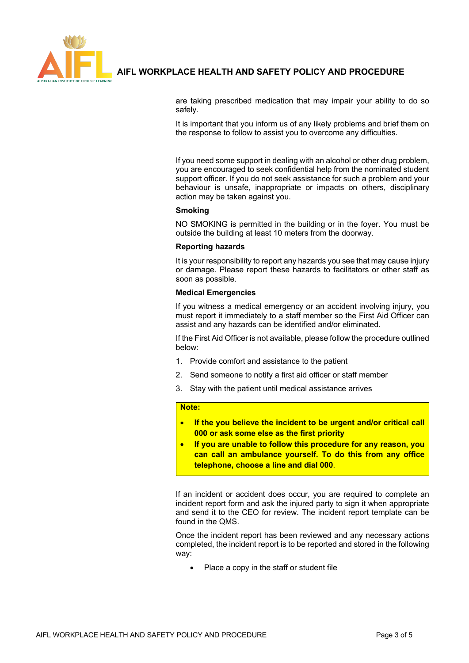

# **AIFL WORKPLACE HEALTH AND SAFETY POLICY AND PROCEDURE**

are taking prescribed medication that may impair your ability to do so safely.

It is important that you inform us of any likely problems and brief them on the response to follow to assist you to overcome any difficulties.

If you need some support in dealing with an alcohol or other drug problem, you are encouraged to seek confidential help from the nominated student support officer. If you do not seek assistance for such a problem and your behaviour is unsafe, inappropriate or impacts on others, disciplinary action may be taken against you.

#### **Smoking**

NO SMOKING is permitted in the building or in the foyer. You must be outside the building at least 10 meters from the doorway.

#### **Reporting hazards**

It is your responsibility to report any hazards you see that may cause injury or damage. Please report these hazards to facilitators or other staff as soon as possible.

#### **Medical Emergencies**

If you witness a medical emergency or an accident involving injury, you must report it immediately to a staff member so the First Aid Officer can assist and any hazards can be identified and/or eliminated.

If the First Aid Officer is not available, please follow the procedure outlined below:

- 1. Provide comfort and assistance to the patient
- 2. Send someone to notify a first aid officer or staff member
- 3. Stay with the patient until medical assistance arrives

#### **Note:**

- **If the you believe the incident to be urgent and/or critical call 000 or ask some else as the first priority**
- **If you are unable to follow this procedure for any reason, you can call an ambulance yourself. To do this from any office telephone, choose a line and dial 000**.

If an incident or accident does occur, you are required to complete an incident report form and ask the injured party to sign it when appropriate and send it to the CEO for review. The incident report template can be found in the QMS.

Once the incident report has been reviewed and any necessary actions completed, the incident report is to be reported and stored in the following way:

• Place a copy in the staff or student file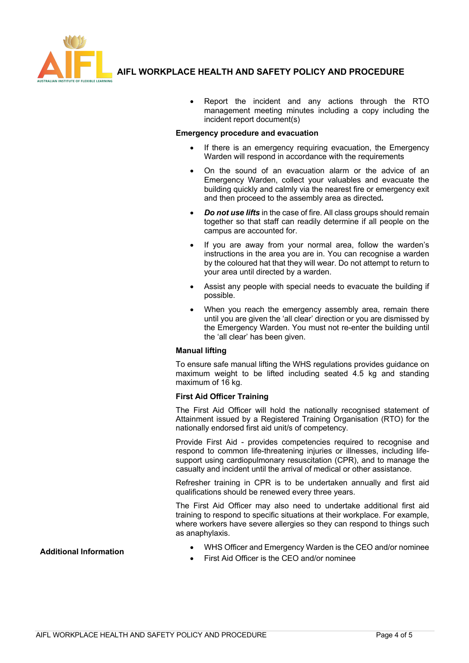

## **AIFL WORKPLACE HEALTH AND SAFETY POLICY AND PROCEDURE**

• Report the incident and any actions through the RTO management meeting minutes including a copy including the incident report document(s)

#### **Emergency procedure and evacuation**

- If there is an emergency requiring evacuation, the Emergency Warden will respond in accordance with the requirements
- On the sound of an evacuation alarm or the advice of an Emergency Warden, collect your valuables and evacuate the building quickly and calmly via the nearest fire or emergency exit and then proceed to the assembly area as directed*.*
- *Do not use lifts* in the case of fire. All class groups should remain together so that staff can readily determine if all people on the campus are accounted for.
- If you are away from your normal area, follow the warden's instructions in the area you are in. You can recognise a warden by the coloured hat that they will wear. Do not attempt to return to your area until directed by a warden.
- Assist any people with special needs to evacuate the building if possible.
- When you reach the emergency assembly area, remain there until you are given the 'all clear' direction or you are dismissed by the Emergency Warden. You must not re-enter the building until the 'all clear' has been given.

## **Manual lifting**

To ensure safe manual lifting the WHS regulations provides guidance on maximum weight to be lifted including seated 4.5 kg and standing maximum of 16 kg.

#### **First Aid Officer Training**

The First Aid Officer will hold the nationally recognised statement of Attainment issued by a Registered Training Organisation (RTO) for the nationally endorsed first aid unit/s of competency.

Provide First Aid - provides competencies required to recognise and respond to common life-threatening injuries or illnesses, including lifesupport using cardiopulmonary resuscitation (CPR), and to manage the casualty and incident until the arrival of medical or other assistance.

Refresher training in CPR is to be undertaken annually and first aid qualifications should be renewed every three years.

The First Aid Officer may also need to undertake additional first aid training to respond to specific situations at their workplace. For example, where workers have severe allergies so they can respond to things such as anaphylaxis.

- **Additional Information** WHS Officer and Emergency Warden is the CEO and/or nominee
	- First Aid Officer is the CEO and/or nominee